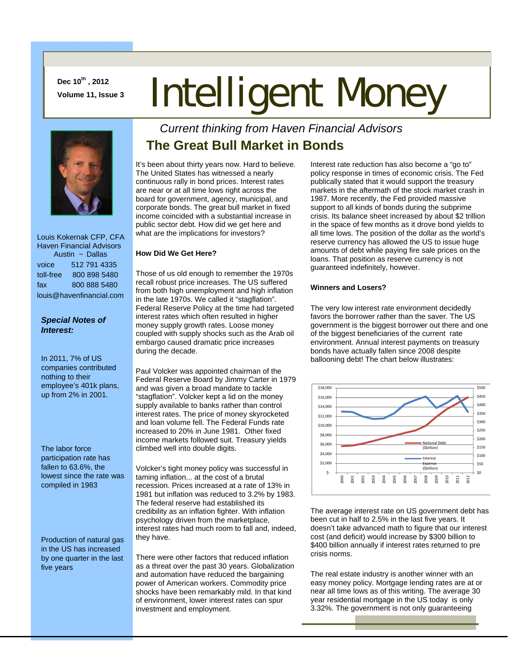**Dec 10th , 2012** 

# Dec 10", 2012<br>Volume 11, Issue 3 **Intelligent Money**



 Louis Kokernak CFP, CFA Haven Financial Advisors Austin ~ Dallas voice 512 791 4335 toll-free 800 898 5480 fax 800 888 5480 louis@havenfinancial.com

### *Special Notes of Interest:*

In 2011, 7% of US companies contributed nothing to their employee's 401k plans, up from 2% in 2001.

The labor force participation rate has fallen to 63.6%, the lowest since the rate was compiled in 1983

Production of natural gas in the US has increased by one quarter in the last five years

## *Current thinking from Haven Financial Advisors*  **The Great Bull Market in Bonds**

It's been about thirty years now. Hard to believe. The United States has witnessed a nearly continuous rally in bond prices. Interest rates are near or at all time lows right across the board for government, agency, municipal, and corporate bonds. The great bull market in fixed income coincided with a substantial increase in public sector debt. How did we get here and what are the implications for investors?

#### **How Did We Get Here?**

Those of us old enough to remember the 1970s recall robust price increases. The US suffered from both high unemployment and high inflation in the late 1970s. We called it "stagflation". Federal Reserve Policy at the time had targeted interest rates which often resulted in higher money supply growth rates. Loose money coupled with supply shocks such as the Arab oil embargo caused dramatic price increases during the decade.

Paul Volcker was appointed chairman of the Federal Reserve Board by Jimmy Carter in 1979 and was given a broad mandate to tackle "stagflation". Volcker kept a lid on the money supply available to banks rather than control interest rates. The price of money skyrocketed and loan volume fell. The Federal Funds rate increased to 20% in June 1981. Other fixed income markets followed suit. Treasury yields climbed well into double digits.

Volcker's tight money policy was successful in taming inflation... at the cost of a brutal recession. Prices increased at a rate of 13% in 1981 but inflation was reduced to 3.2% by 1983. The federal reserve had established its credibility as an inflation fighter. With inflation psychology driven from the marketplace, interest rates had much room to fall and, indeed, they have.

There were other factors that reduced inflation as a threat over the past 30 years. Globalization and automation have reduced the bargaining power of American workers. Commodity price shocks have been remarkably mild. In that kind of environment, lower interest rates can spur investment and employment.

Interest rate reduction has also become a "go to" policy response in times of economic crisis. The Fed publically stated that it would support the treasury markets in the aftermath of the stock market crash in 1987. More recently, the Fed provided massive support to all kinds of bonds during the subprime crisis. Its balance sheet increased by about \$2 trillion in the space of few months as it drove bond yields to all time lows. The position of the dollar as the world's reserve currency has allowed the US to issue huge amounts of debt while paying fire sale prices on the loans. That position as reserve currency is not guaranteed indefinitely, however.

#### **Winners and Losers?**

The very low interest rate environment decidedly favors the borrower rather than the saver. The US government is the biggest borrower out there and one of the biggest beneficiaries of the current rate environment. Annual interest payments on treasury bonds have actually fallen since 2008 despite ballooning debt! The chart below illustrates:



The average interest rate on US government debt has been cut in half to 2.5% in the last five years. It doesn't take advanced math to figure that our interest cost (and deficit) would increase by \$300 billion to \$400 billion annually if interest rates returned to pre crisis norms.

The real estate industry is another winner with an easy money policy. Mortgage lending rates are at or near all time lows as of this writing. The average 30 year residential mortgage in the US today is only 3.32%. The government is not only guaranteeing